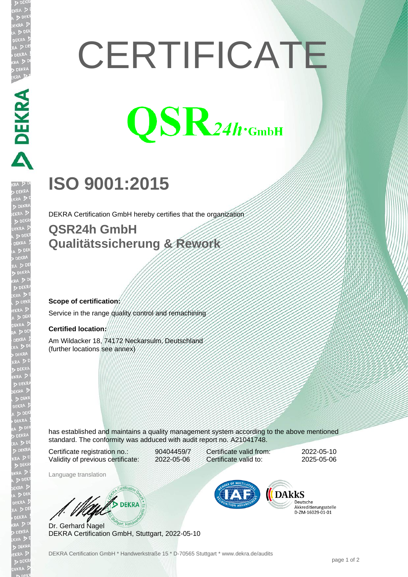# **CERTIFICATE**



# **ISO 9001:2015**

DEKRA Certification GmbH hereby certifies that the organization

### **QSR24h GmbH Qualitätssicherung & Rework**

#### **Scope of certification:**

Service in the range quality control and remachining

#### **Certified location:**

**DEKRA PRE** 

Am Wildacker 18, 74172 Neckarsulm, Deutschland (further locations see annex)

has established and maintains a quality management system according to the above mentioned standard. The conformity was adduced with audit report no. A21041748.

Certificate registration no.: 90404459/7 Validity of previous certificate: 2022-05-06

Language translation

Certificate valid from: 2022-05-10 Certificate valid to: 2025-05-06

DARKS

Deutsche Akkreditierungsstelle 

Dr. Gerhard Nagel DEKRA Certification GmbH, Stuttgart, 2022-05-10

W/S DEKRA